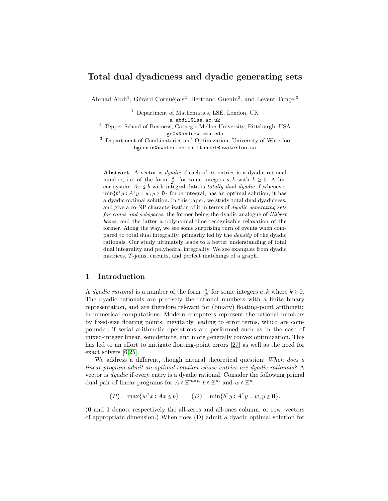# Total dual dyadicness and dyadic generating sets

Ahmad Abdi<sup>1</sup>, Gérard Cornuéjols<sup>2</sup>, Bertrand Guenin<sup>3</sup>, and Levent Tunçel<sup>3</sup>

<sup>1</sup> Department of Mathematics, LSE, London, UK

a.abdi1@lse.ac.uk

<sup>2</sup> Tepper School of Business, Carnegie Mellon University, Pittsburgh, USA gc0v@andrew.cmu.edu

<sup>3</sup> Department of Combinatorics and Optimization, University of Waterloo bguenin@uwaterloo.ca,ltuncel@uwaterloo.ca

Abstract. A vector is dyadic if each of its entries is a dyadic rational number, i.e. of the form  $\frac{a}{2^k}$  for some integers  $a, k$  with  $k \ge 0$ . A linear system  $Ax \leq b$  with integral data is *totally dual dyadic* if whenever  $\min\{b^{\mathsf{T}}y : A^{\mathsf{T}}y = w, y \geq 0\}$  for w integral, has an optimal solution, it has a dyadic optimal solution. In this paper, we study total dual dyadicness, and give a co-NP characterization of it in terms of dyadic generating sets for cones and subspaces, the former being the dyadic analogue of Hilbert bases, and the latter a polynomial-time recognizable relaxation of the former. Along the way, we see some surprising turn of events when compared to total dual integrality, primarily led by the density of the dyadic rationals. Our study ultimately leads to a better understanding of total dual integrality and polyhedral integrality. We see examples from dyadic matrices, T-joins, circuits, and perfect matchings of a graph.

## 1 Introduction

A *dyadic rational* is a number of the form  $\frac{a}{2^k}$  for some integers  $a, k$  where  $k \ge 0$ . The dyadic rationals are precisely the rational numbers with a finite binary representation, and are therefore relevant for (binary) floating-point arithmetic in numerical computations. Modern computers represent the rational numbers by fixed-size floating points, inevitably leading to error terms, which are compounded if serial arithmetic operations are performed such as in the case of mixed-integer linear, semidefinite, and more generally convex optimization. This has led to an effort to mitigate floating-point errors [\[27\]](#page-13-0) as well as the need for exact solvers [\[6,](#page-12-0)[25\]](#page-13-1).

We address a different, though natural theoretical question: When does a linear program admit an optimal solution whose entries are dyadic rationals? A vector is dyadic if every entry is a dyadic rational. Consider the following primal dual pair of linear programs for  $A \in \mathbb{Z}^{m \times n}$ ,  $b \in \mathbb{Z}^m$  and  $w \in \mathbb{Z}^n$ .

> $(P)$  max $\{w^{\dagger}$  $x: Ax \leq b$   $(D)$   $\min\{b^{\mathsf{T}}y: A^{\mathsf{T}}y = w, y \geq 0\}.$

(0 and 1 denote respectively the all-zeros and all-ones column, or row, vectors of appropriate dimension.) When does (D) admit a dyadic optimal solution for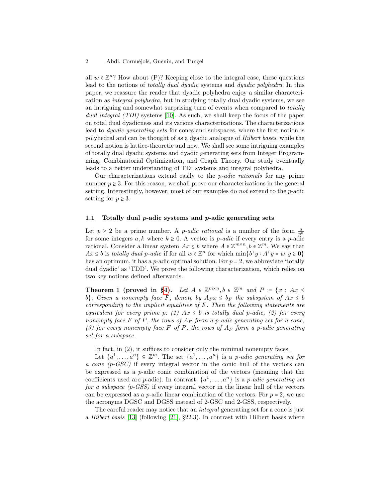all  $w \in \mathbb{Z}^n$ ? How about (P)? Keeping close to the integral case, these questions lead to the notions of *totally dual dyadic* systems and *dyadic polyhedra*. In this paper, we reassure the reader that dyadic polyhedra enjoy a similar characterization as integral polyhedra, but in studying totally dual dyadic systems, we see an intriguing and somewhat surprising turn of events when compared to totally dual integral (TDI) systems [\[10\]](#page-12-1). As such, we shall keep the focus of the paper on total dual dyadicness and its various characterizations. The characterizations lead to dyadic generating sets for cones and subspaces, where the first notion is polyhedral and can be thought of as a dyadic analogue of Hilbert bases, while the second notion is lattice-theoretic and new. We shall see some intriguing examples of totally dual dyadic systems and dyadic generating sets from Integer Programming, Combinatorial Optimization, and Graph Theory. Our study eventually leads to a better understanding of TDI systems and integral polyhedra.

Our characterizations extend easily to the p-adic rationals for any prime number  $p \geq 3$ . For this reason, we shall prove our characterizations in the general setting. Interestingly, however, most of our examples do not extend to the p-adic setting for  $p \geq 3$ .

#### 1.1 Totally dual  $p$ -adic systems and  $p$ -adic generating sets

Let  $p \geq 2$  be a prime number. A *p-adic rational* is a number of the form  $\frac{a}{p^k}$ for some integers  $a, k$  where  $k \geq 0$ . A vector is *p*-adic if every entry is a *p*-adic rational. Consider a linear system  $Ax \leq b$  where  $A \in \mathbb{Z}^{m \times n}$ ,  $b \in \mathbb{Z}^m$ . We say that  $Ax \leq b$  is totally dual p-adic if for all  $w \in \mathbb{Z}^n$  for which  $\min\{b^{\dagger}y : A^{\dagger}y = w, y \geq 0\}$ has an optimum, it has a  $p$ -adic optimal solution. For  $p = 2$ , we abbreviate 'totally dual dyadic' as 'TDD'. We prove the following characterization, which relies on two key notions defined afterwards.

<span id="page-1-0"></span>Theorem 1 (proved in [§4\)](#page-9-0). Let  $A \in \mathbb{Z}^{m \times n}$ ,  $b \in \mathbb{Z}^m$  and  $P := \{x : Ax \leq$ b}. Given a nonempty face F, denote by  $A_F x \leq b_F$  the subsystem of  $Ax \leq b$ corresponding to the implicit equalities of  $F$ . Then the following statements are equivalent for every prime p: (1)  $Ax \leq b$  is totally dual p-adic, (2) for every nonempty face F of P, the rows of  $A_F$  form a p-adic generating set for a cone, (3) for every nonempty face F of P, the rows of  $A_F$  form a p-adic generating set for a subspace.

In fact, in  $(2)$ , it suffices to consider only the minimal nonempty faces.

Let  $\{a^1, \ldots, a^n\} \subseteq \mathbb{Z}^m$ . The set  $\{a^1, \ldots, a^n\}$  is a *p*-adic generating set for a cone (p-GSC) if every integral vector in the conic hull of the vectors can be expressed as a p-adic conic combination of the vectors (meaning that the coefficients used are *p*-adic). In contrast,  $\{a^1, \ldots, a^n\}$  is a *p-adic generating set* for a subspace (p-GSS) if every integral vector in the linear hull of the vectors can be expressed as a *p*-adic linear combination of the vectors. For  $p = 2$ , we use the acronyms DGSC and DGSS instead of 2-GSC and 2-GSS, respectively.

The careful reader may notice that an integral generating set for a cone is just a Hilbert basis [\[13\]](#page-12-2) (following [\[21\]](#page-13-2), §22.3). In contrast with Hilbert bases where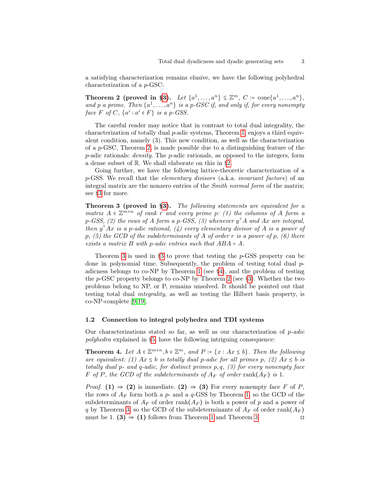a satisfying characterization remains elusive, we have the following polyhedral characterization of a p-GSC:

<span id="page-2-0"></span>Theorem 2 (proved in [§3\)](#page-6-0). Let  $\{a^1,\ldots,a^n\} \subseteq \mathbb{Z}^m$ ,  $C := \text{cone}\{a^1,\ldots,a^n\}$ , and p a prime. Then  $\{a^1, \ldots, a^n\}$  is a p-GSC if, and only if, for every nonempty face  $F$  of  $C$ ,  $\{a^i : a^i \in F\}$  is a p-GSS.

The careful reader may notice that in contrast to total dual integrality, the characterization of totally dual  $p$ -adic systems, Theorem [1,](#page-1-0) enjoys a third equivalent condition, namely (3). This new condition, as well as the characterization of a p-GSC, Theorem [2,](#page-2-0) is made possible due to a distinguishing feature of the  $p$ -adic rationals: *density*. The  $p$ -adic rationals, as opposed to the integers, form a dense subset of R. We shall elaborate on this in [§2.](#page-4-0)

Going further, we have the following lattice-theoretic characterization of a p-GSS. We recall that the elementary divisors (a.k.a. invariant factors) of an integral matrix are the nonzero entries of the Smith normal form of the matrix; see [§3](#page-6-0) for more.

<span id="page-2-1"></span>Theorem 3 (proved in [§3\)](#page-6-0). The following statements are equivalent for a matrix  $A \in \mathbb{Z}^{m \times n}$  of rank r and every prime p: (1) the columns of A form a p-GSS, (2) the rows of A form a p-GSS, (3) whenever  $y<sup>T</sup>A$  and Ax are integral, then  $y<sup>T</sup>Ax$  is a p-adic rational, (4) every elementary divisor of A is a power of  $p, (5)$  the GCD of the subdeterminants of A of order r is a power of p,  $(6)$  there exists a matrix  $B$  with p-adic entries such that  $ABA = A$ .

Theorem [3](#page-2-1) is used in  $\S3$  to prove that testing the p-GSS property can be done in polynomial time. Subsequently, the problem of testing total dual  $p$ adicness belongs to co-NP by Theorem [1](#page-1-0) (see [§4\)](#page-9-0), and the problem of testing the  $p$ -GSC property belongs to co-NP by Theorem [2](#page-2-0) (see [§3\)](#page-6-0). Whether the two problems belong to NP, or P, remains unsolved. It should be pointed out that testing total dual integrality, as well as testing the Hilbert basis property, is co-NP-complete [\[9,](#page-12-3)[19\]](#page-13-3).

#### 1.2 Connection to integral polyhedra and TDI systems

Our characterizations stated so far, as well as our characterization of  $p\text{-}adic$ polyhedra explained in [§5,](#page-10-0) have the following intriguing consequence:

<span id="page-2-2"></span>**Theorem 4.** Let  $A \in \mathbb{Z}^{m \times n}$ ,  $b \in \mathbb{Z}^m$ , and  $P := \{x : Ax \leq b\}$ . Then the following are equivalent: (1)  $Ax \leq b$  is totally dual p-adic for all primes p, (2)  $Ax \leq b$  is totally dual p- and q-adic, for distinct primes  $p, q, (3)$  for every nonempty face F of P, the GCD of the subdeterminants of  $A_F$  of order rank $(A_F)$  is 1.

*Proof.* (1)  $\Rightarrow$  (2) is immediate. (2)  $\Rightarrow$  (3) For every nonempty face F of P, the rows of  $A_F$  form both a p- and a q-GSS by Theorem [1,](#page-1-0) so the GCD of the subdeterminants of  $A_F$  of order rank $(A_F)$  is both a power of p and a power of q by Theorem [3,](#page-2-1) so the GCD of the subdeterminants of  $A_F$  of order rank $(A_F)$ must be [1](#page-1-0). (3) ⇒ (1) follows from Theorem 1 and Theorem [3](#page-2-1)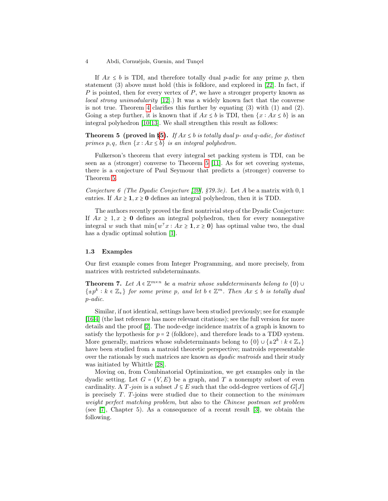#### 4 Abdi, Cornuéjols, Guenin, and Tunçel

If  $Ax \leq b$  is TDI, and therefore totally dual p-adic for any prime p, then statement (3) above must hold (this is folklore, and explored in [\[22\]](#page-13-4). In fact, if  $P$  is pointed, then for every vertex of  $P$ , we have a stronger property known as local strong unimodularity [\[12\]](#page-12-4).) It was a widely known fact that the converse is not true. Theorem [4](#page-2-2) clarifies this further by equating (3) with (1) and (2). Going a step further, it is known that if  $Ax \leq b$  is TDI, then  $\{x : Ax \leq b\}$  is an integral polyhedron [\[10,](#page-12-1)[13\]](#page-12-2). We shall strengthen this result as follows:

<span id="page-3-0"></span>**Theorem 5 (proved in [§5\)](#page-10-0).** If  $Ax \leq b$  is totally dual p- and q-adic, for distinct primes p, q, then  $\{x : Ax \leq b\}$  is an integral polyhedron.

Fulkerson's theorem that every integral set packing system is TDI, can be seen as a (stronger) converse to Theorem [5](#page-3-0) [\[11\]](#page-12-5). As for set covering systems, there is a conjecture of Paul Seymour that predicts a (stronger) converse to Theorem [5.](#page-3-0)

<span id="page-3-3"></span>Conjecture 6 (The Dyadic Conjecture [\[20\]](#page-13-5),  $\S79.3e$ ). Let A be a matrix with 0, 1 entries. If  $Ax \geq 1, x \geq 0$  defines an integral polyhedron, then it is TDD.

The authors recently proved the first nontrivial step of the Dyadic Conjecture: If  $Ax \geq 1, x \geq 0$  defines an integral polyhedron, then for every nonnegative integral w such that  $\min\{w^{\mathsf{T}}x : Ax \geq 1, x \geq 0\}$  has optimal value two, the dual has a dyadic optimal solution [\[1\]](#page-12-6).

#### 1.3 Examples

Our first example comes from Integer Programming, and more precisely, from matrices with restricted subdeterminants.

<span id="page-3-1"></span>**Theorem 7.** Let  $A \in \mathbb{Z}^{m \times n}$  be a matrix whose subdeterminants belong to  $\{0\}$  $\{\pm p^k : k \in \mathbb{Z}_+\}$  for some prime p, and let  $b \in \mathbb{Z}^m$ . Then  $Ax \leq b$  is totally dual p-adic.

Similar, if not identical, settings have been studied previously; see for example [\[16](#page-13-6)[,4\]](#page-12-7) (the last reference has more relevant citations); see the full version for more details and the proof [\[2\]](#page-12-8). The node-edge incidence matrix of a graph is known to satisfy the hypothesis for  $p = 2$  (folklore), and therefore leads to a TDD system. More generally, matrices whose subdeterminants belong to  $\{0\} \cup \{\pm 2^k : k \in \mathbb{Z}_+\}$ have been studied from a matroid theoretic perspective; matroids representable over the rationals by such matrices are known as *dyadic matroids* and their study was initiated by Whittle [\[28\]](#page-13-7).

<span id="page-3-2"></span>Moving on, from Combinatorial Optimization, we get examples only in the dyadic setting. Let  $G = (V, E)$  be a graph, and T a nonempty subset of even cardinality. A T-join is a subset  $J \subseteq E$  such that the odd-degree vertices of  $G[J]$ is precisely  $T$ . T-joins were studied due to their connection to the *minimum* weight perfect matching problem, but also to the Chinese postman set problem (see [\[7\]](#page-12-9), Chapter 5). As a consequence of a recent result [\[3\]](#page-12-10), we obtain the following.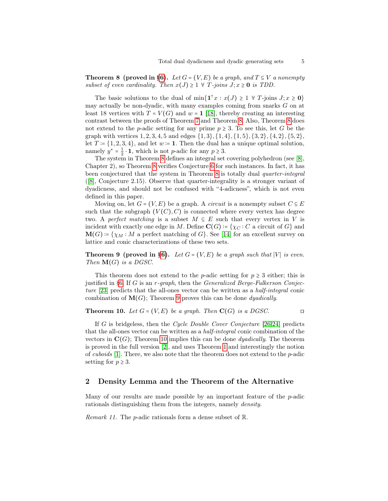**Theorem 8 (proved in [§6\)](#page-11-0).** Let  $G = (V, E)$  be a graph, and  $T \subseteq V$  a nonempty subset of even cardinality. Then  $x(J) \geq 1 \ \forall \ T \text{-joins } J; x \geq 0$  is TDD.

The basic solutions to the dual of  $\min\{1^{\top}x : x(J) \geq 1 \ \forall \ T\text{-joins } J; x \geq 0\}$ may actually be non-dyadic, with many examples coming from snarks G on at least 18 vertices with  $T = V(G)$  and  $w = 1$  [\[18\]](#page-13-8), thereby creating an interesting contrast between the proofs of Theorem [7](#page-3-1) and Theorem [8.](#page-3-2) Also, Theorem [8](#page-3-2) does not extend to the p-adic setting for any prime  $p \geq 3$ . To see this, let G be the graph with vertices  $1, 2, 3, 4, 5$  and edges  $\{1, 3\}, \{1, 4\}, \{1, 5\}, \{3, 2\}, \{4, 2\}, \{5, 2\},$ let  $T = \{1, 2, 3, 4\}$ , and let  $w = 1$ . Then the dual has a unique optimal solution, namely  $y^* = \frac{1}{2} \cdot \mathbf{1}$ , which is not *p*-adic for any  $p \ge 3$ .

The system in Theorem [8](#page-3-2) defines an integral set covering polyhedron (see [\[8\]](#page-12-11), Chapter 2), so Theorem [8](#page-3-2) verifies Conjecture [6](#page-3-3) for such instances. In fact, it has been conjectured that the system in Theorem [8](#page-3-2) is totally dual quarter-integral ([\[8\]](#page-12-11), Conjecture 2.15). Observe that quarter-integrality is a stronger variant of dyadicness, and should not be confused with "4-adicness", which is not even defined in this paper.

Moving on, let  $G = (V, E)$  be a graph. A *circuit* is a nonempty subset  $C \subseteq E$ such that the subgraph  $(V(C), C)$  is connected where every vertex has degree two. A perfect matching is a subset  $M \subseteq E$  such that every vertex in V is incident with exactly one edge in M. Define  $\mathbf{C}(G) = \{ \chi_C : C \text{ a circuit of } G \}$  and  $\mathbf{M}(G) = \{ \chi_M : M$  a perfect matching of G. See [\[14\]](#page-13-9) for an excellent survey on lattice and conic characterizations of these two sets.

<span id="page-4-1"></span>**Theorem 9 (proved in [§6\)](#page-11-0).** Let  $G = (V, E)$  be a graph such that |V| is even. Then  $\mathbf{M}(G)$  is a DGSC.

This theorem does not extend to the p-adic setting for  $p \geq 3$  either; this is justified in [§6.](#page-11-0) If G is an  $r$ -graph, then the Generalized Berge-Fulkerson Conjecture [\[23\]](#page-13-10) predicts that the all-ones vector can be written as a half-integral conic combination of  $\mathbf{M}(G)$ ; Theorem [9](#page-4-1) proves this can be done *dyadically*.

#### <span id="page-4-2"></span>Theorem 10. Let  $G = (V, E)$  be a graph. Then  $\mathbf{C}(G)$  is a DGSC. □

If G is bridgeless, then the Cycle Double Cover Conjecture [\[26,](#page-13-11)[24\]](#page-13-12) predicts that the all-ones vector can be written as a half-integral conic combination of the vectors in  $\mathbf{C}(G)$ ; Theorem [10](#page-4-2) implies this can be done *dyadically*. The theorem is proved in the full version [\[2\]](#page-12-8), and uses Theorem [1](#page-1-0) and interestingly the notion of cuboids  $[1]$ . There, we also note that the theorem does not extend to the p-adic setting for  $p \geq 3$ .

#### <span id="page-4-0"></span>2 Density Lemma and the Theorem of the Alternative

Many of our results are made possible by an important feature of the p-adic rationals distinguishing them from the integers, namely density.

<span id="page-4-3"></span>Remark 11. The p-adic rationals form a dense subset of R.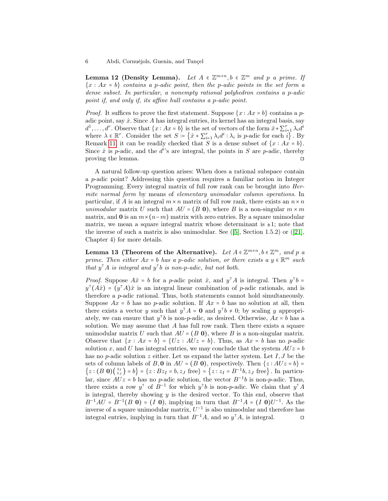Lemma 12 (Density Lemma). Let  $A \in \mathbb{Z}^{m \times n}$ ,  $b \in \mathbb{Z}^m$  and p a prime. If  ${x : Ax = b}$  contains a p-adic point, then the p-adic points in the set form a dense subset. In particular, a nonempty rational polyhedron contains a p-adic point if, and only if, its affine hull contains a p-adic point.

*Proof.* It suffices to prove the first statement. Suppose  $\{x : Ax = b\}$  contains a padic point, say  $\hat{x}$ . Since A has integral entries, its kernel has an integral basis, say  $d^1, \ldots, d^r$ . Observe that  $\{x : Ax = b\}$  is the set of vectors of the form  $\hat{x} + \sum_{i=1}^r \lambda_i d^i$ where  $\lambda \in \mathbb{R}^r$ . Consider the set  $S := \left\{ \hat{x} + \sum_{i=1}^r \lambda_i d^i : \lambda_i \text{ is } p\text{-adic for each } i \right\}$ . By Remark [11,](#page-4-3) it can be readily checked that S is a dense subset of  $\{x : Ax = b\}$ . Since  $\hat{x}$  is p-adic, and the  $d^{i}$ 's are integral, the points in S are p-adic, thereby proving the lemma. ⊓⊔

A natural follow-up question arises: When does a rational subspace contain a p-adic point? Addressing this question requires a familiar notion in Integer Programming. Every integral matrix of full row rank can be brought into Hermite normal form by means of elementary unimodular column operations. In particular, if A is an integral  $m \times n$  matrix of full row rank, there exists an  $n \times n$ unimodular matrix U such that  $AU = (B 0)$ , where B is a non-singular  $m \times m$ matrix, and 0 is an  $m \times (n-m)$  matrix with zero entries. By a square unimodular matrix, we mean a square integral matrix whose determinant is  $\pm 1$ ; note that the inverse of such a matrix is also unimodular. See  $([5]$  $([5]$ , Section 1.5.2) or  $([21]$  $([21]$ , Chapter 4) for more details.

<span id="page-5-0"></span>Lemma 13 (Theorem of the Alternative). Let  $A \in \mathbb{Z}^{m \times n}$ ,  $b \in \mathbb{Z}^m$ , and p a prime. Then either  $Ax = b$  has a p-adic solution, or there exists a  $y \in \mathbb{R}^m$  such that  $y^{\dagger}A$  is integral and  $y^{\dagger}b$  is non-p-adic, but not both.

*Proof.* Suppose  $A\hat{x} = b$  for a *p*-adic point  $\hat{x}$ , and  $y^{\dagger}A$  is integral. Then  $y^{\dagger}b =$  $y^{\dagger}(A\hat{x}) = (y^{\dagger}A)\hat{x}$  is an integral linear combination of p-adic rationals, and is therefore a p-adic rational. Thus, both statements cannot hold simultaneously. Suppose  $Ax = b$  has no p-adic solution. If  $Ax = b$  has no solution at all, then there exists a vector y such that  $y^{\dagger} A = \mathbf{0}$  and  $y^{\dagger} b \neq 0$ ; by scaling y appropriately, we can ensure that  $y^{\dagger}b$  is non-p-adic, as desired. Otherwise,  $Ax = b$  has a solution. We may assume that  $A$  has full row rank. Then there exists a square unimodular matrix U such that  $AU = (B 0)$ , where B is a non-singular matrix. Observe that  $\{x : Ax = b\} = \{Uz : AUz = b\}$ . Thus, as  $Ax = b$  has no p-adic solution x, and U has integral entries, we may conclude that the system  $A U z = b$ has no p-adic solution z either. Let us expand the latter system. Let  $I, J$  be the sets of column labels of B, 0 in  $AU = (B 0)$ , respectively. Then  $\{z : AUz = b\}$  $\{z:(B\;0)\binom{z_I}{z_J}\}=b\}=\{z:Bz_I=b, z_J\;\text{free}\}=\{z:z_I=B^{-1}b, z_J\;\text{free}\}.$  In particular, since  $AUz = b$  has no p-adic solution, the vector  $B^{-1}b$  is non-p-adic. Thus, there exists a row  $y^{\dagger}$  of  $B^{-1}$  for which  $y^{\dagger}b$  is non-p-adic. We claim that  $y^{\dagger}A$ is integral, thereby showing  $y$  is the desired vector. To this end, observe that  $B^{-1}AU = B^{-1}(B\; 0) = (I\; 0)$ , implying in turn that  $B^{-1}A = (I\; 0)U^{-1}$ . As the inverse of a square unimodular matrix,  $U^{-1}$  is also unimodular and therefore has integral entries, implying in turn that  $B^{-1}A$ , and so  $y^{\top}A$ , is integral. □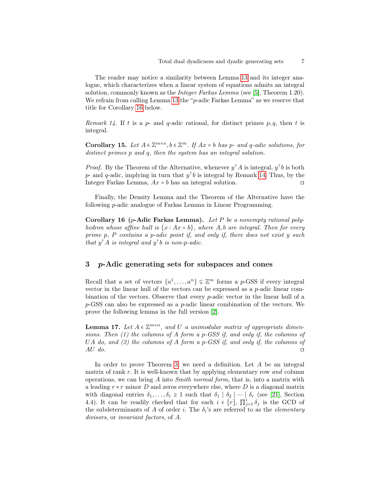The reader may notice a similarity between Lemma [13](#page-5-0) and its integer analogue, which characterizes when a linear system of equations admits an integral solution, commonly known as the *Integer Farkas Lemma* (see [\[5\]](#page-12-12), Theorem 1.20). We refrain from calling Lemma [13](#page-5-0) the "p-adic Farkas Lemma" as we reserve that title for Corollary [16](#page-6-1) below.

<span id="page-6-2"></span>Remark 14. If t is a p- and q-adic rational, for distinct primes p, q, then t is integral.

<span id="page-6-4"></span>Corollary 15. Let  $A \in \mathbb{Z}^{m \times n}$ ,  $b \in \mathbb{Z}^m$ . If  $Ax = b$  has p- and q-adic solutions, for distinct primes p and q, then the system has an integral solution.

*Proof.* By the Theorem of the Alternative, whenever  $y^{\dagger}A$  is integral,  $y^{\dagger}b$  is both p- and q-adic, implying in turn that  $y<sup>T</sup>b$  is integral by Remark [14.](#page-6-2) Thus, by the Integer Farkas Lemma, Ax = b has an integral solution. ⊓⊔

Finally, the Density Lemma and the Theorem of the Alternative have the following p-adic analogue of Farkas Lemma in Linear Programming.

<span id="page-6-1"></span>Corollary 16 (p-Adic Farkas Lemma). Let P be a nonempty rational polyhedron whose affine hull is  $\{x : Ax = b\}$ , where A,b are integral. Then for every prime p, P contains a p-adic point if, and only if, there does not exist y such that  $y^{\dagger}A$  is integral and  $y^{\dagger}b$  is non-p-adic.

## <span id="page-6-0"></span>3 p-Adic generating sets for subspaces and cones

Recall that a set of vectors  $\{a^1, \ldots, a^n\} \subseteq \mathbb{Z}^m$  forms a p-GSS if every integral vector in the linear hull of the vectors can be expressed as a  $p$ -adic linear combination of the vectors. Observe that every p-adic vector in the linear hull of a p-GSS can also be expressed as a p-adic linear combination of the vectors. We prove the following lemma in the full version [\[2\]](#page-12-8).

<span id="page-6-3"></span>**Lemma 17.** Let  $A \in \mathbb{Z}^{m \times n}$ , and U a unimodular matrix of appropriate dimensions. Then (1) the columns of A form a p-GSS if, and only if, the columns of UA do, and  $(2)$  the columns of A form a p-GSS if, and only if, the columns of  $AU$  do.

In order to prove Theorem [3,](#page-2-1) we need a definition. Let  $A$  be an integral matrix of rank  $r$ . It is well-known that by applying elementary row and column operations, we can bring A into Smith normal form, that is, into a matrix with a leading  $r \times r$  minor D and zeros everywhere else, where D is a diagonal matrix with diagonal entries  $\delta_1, \ldots, \delta_r \geq 1$  such that  $\delta_1 \mid \delta_2 \mid \cdots \mid \delta_r$  (see [\[21\]](#page-13-2), Section 4.4). It can be readily checked that for each  $i \in [r]$ ,  $\prod_{j=1}^{i} \delta_j$  is the GCD of the subdeterminants of A of order *i*. The  $\delta_i$ 's are referred to as the *elementary* divisors, or invariant factors, of A.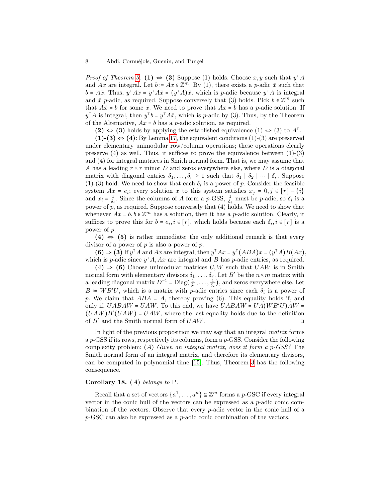*Proof of Theorem [3.](#page-2-1)* (1)  $\Leftrightarrow$  (3) Suppose (1) holds. Choose x, y such that  $y^{\mathsf{T}} A$ and Ax are integral. Let  $b = Ax \in \mathbb{Z}^m$ . By (1), there exists a p-adic  $\bar{x}$  such that  $b = A\bar{x}$ . Thus,  $y^{\dagger}Ax = y^{\dagger}A\bar{x} = (y^{\dagger}A)\bar{x}$ , which is p-adic because  $y^{\dagger}A$  is integral and  $\bar{x}$  p-adic, as required. Suppose conversely that (3) holds. Pick  $b \in \mathbb{Z}^m$  such that  $A\bar{x} = b$  for some  $\bar{x}$ . We need to prove that  $Ax = b$  has a p-adic solution. If  $y^{\mathsf{T}}A$  is integral, then  $y^{\mathsf{T}}b = y^{\mathsf{T}}A\bar{x}$ , which is p-adic by (3). Thus, by the Theorem of the Alternative,  $Ax = b$  has a p-adic solution, as required.

(2)  $\Leftrightarrow$  (3) holds by applying the established equivalence (1)  $\Leftrightarrow$  (3) to  $A^{\dagger}$ .

 $(1)-(3) \Leftrightarrow (4)$ : By Lemma [17,](#page-6-3) the equivalent conditions  $(1)-(3)$  are preserved under elementary unimodular row/column operations; these operations clearly preserve  $(4)$  as well. Thus, it suffices to prove the equivalence between  $(1)-(3)$ and (4) for integral matrices in Smith normal form. That is, we may assume that A has a leading  $r \times r$  minor D and zeros everywhere else, where D is a diagonal matrix with diagonal entries  $\delta_1, \ldots, \delta_r \geq 1$  such that  $\delta_1 \mid \delta_2 \mid \cdots \mid \delta_r$ . Suppose  $(1)-(3)$  hold. We need to show that each  $\delta_i$  is a power of p. Consider the feasible system  $Ax = e_i$ ; every solution x to this system satisfies  $x_j = 0, j \in [r] - \{i\}$ and  $x_i = \frac{1}{\delta_i}$ . Since the columns of A form a p-GSS,  $\frac{1}{\delta_i}$  must be p-adic, so  $\delta_i$  is a power of  $p$ , as required. Suppose conversely that  $(4)$  holds. We need to show that whenever  $Ax = b, b \in \mathbb{Z}^m$  has a solution, then it has a *p*-adic solution. Clearly, it suffices to prove this for  $b = e_i, i \in [r]$ , which holds because each  $\delta_i, i \in [r]$  is a power of p.

 $(4) \Leftrightarrow (5)$  is rather immediate; the only additional remark is that every divisor of a power of  $p$  is also a power of  $p$ .

(6)  $\Rightarrow$  (3) If y<sup>T</sup> A and Ax are integral, then y<sup>T</sup> Ax = y<sup>T</sup> (ABA)x = (y<sup>T</sup> A)B(Ax), which is p-adic since  $y<sup>T</sup>A$ , Ax are integral and B has p-adic entries, as required.

 $(4) \Rightarrow (6)$  Choose unimodular matrices U, W such that UAW is in Smith normal form with elementary divisors  $\delta_1, \ldots, \delta_r$ . Let  $B'$  be the  $n \times m$  matrix with a leading diagonal matrix  $D^{-1} = \text{Diag}(\frac{1}{\delta_1}, \dots, \frac{1}{\delta_r})$ , and zeros everywhere else. Let  $B = WB'U$ , which is a matrix with p-adic entries since each  $\delta_i$  is a power of p. We claim that  $ABA = A$ , thereby proving (6). This equality holds if, and only if,  $UABAW = UAW$ . To this end, we have  $UABAW = UA(WB'U)AW =$  $(UAW)B'(UAW) = UAW$ , where the last equality holds due to the definition of  $B'$  and the Smith normal form of  $UAW$ . □

In light of the previous proposition we may say that an integral matrix forms a  $p$ -GSS if its rows, respectively its columns, form a  $p$ -GSS. Consider the following complexity problem:  $(A)$  Given an integral matrix, does it form a p-GSS? The Smith normal form of an integral matrix, and therefore its elementary divisors, can be computed in polynomial time [\[15\]](#page-13-13). Thus, Theorem [3](#page-2-1) has the following consequence.

#### <span id="page-7-1"></span>Corollary 18. (A) belongs to P.

<span id="page-7-0"></span>Recall that a set of vectors  $\{a^1, \ldots, a^n\} \subseteq \mathbb{Z}^m$  forms a  $p$ -GSC if every integral vector in the conic hull of the vectors can be expressed as a  $p$ -adic conic combination of the vectors. Observe that every p-adic vector in the conic hull of a p-GSC can also be expressed as a p-adic conic combination of the vectors.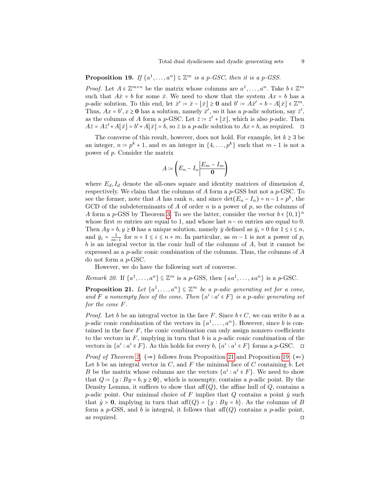# **Proposition 19.** If  $\{a^1, \ldots, a^n\} \subseteq \mathbb{Z}^m$  is a p-GSC, then it is a p-GSS.

*Proof.* Let  $A \in \mathbb{Z}^{m \times n}$  be the matrix whose columns are  $a^1, \ldots, a^n$ . Take  $b \in \mathbb{Z}^m$ such that  $A\bar{x} = b$  for some  $\bar{x}$ . We need to show that the system  $Ax = b$  has a *p*-adic solution. To this end, let  $\bar{x}' \coloneqq \bar{x} - \lfloor \bar{x} \rfloor \ge 0$  and  $b' \coloneqq A\bar{x}' = b - A\lfloor \bar{x} \rfloor \in \mathbb{Z}^m$ . Thus,  $Ax = b', x \ge 0$  has a solution, namely  $\bar{x}'$ , so it has a *p*-adic solution, say  $\bar{z}'$ , as the columns of A form a p-GSC. Let  $\bar{z} \coloneqq \bar{z}' + [\bar{x}],$  which is also p-adic. Then  $A\overline{z} = A\overline{z}' + A[\overline{x}] = b' + A[\overline{x}] = b$ , so  $\overline{z}$  is a p-adic solution to  $Ax = b$ , as required.  $\Box$ 

The converse of this result, however, does not hold. For example, let  $k \geq 3$  be an integer,  $n = p^k + 1$ , and m an integer in  $\{4, \ldots, p^k\}$  such that  $m-1$  is not a power of p. Consider the matrix

$$
A \coloneqq \left( E_n - I_n \middle| \frac{E_m - I_m}{\mathbf{0}} \right)
$$

where  $E_d$ ,  $I_d$  denote the all-ones square and identity matrices of dimension d, respectively. We claim that the columns of  $A$  form a  $p$ -GSS but not a  $p$ -GSC. To see the former, note that A has rank n, and since  $\det(E_n - I_n) = n - 1 = p^k$ , the GCD of the subdeterminants of A of order n is a power of p, so the columns of A form a p-GSS by Theorem [3.](#page-2-1) To see the latter, consider the vector  $b \in \{0,1\}^n$ whose first m entries are equal to 1, and whose last  $n-m$  entries are equal to 0. Then  $Ay = b, y \ge 0$  has a unique solution, namely  $\bar{y}$  defined as  $\bar{y}_i = 0$  for  $1 \le i \le n$ , and  $\bar{y}_i = \frac{1}{m-1}$  for  $n+1 \le i \le n+m$ . In particular, as  $m-1$  is not a power of p, b is an integral vector in the conic hull of the columns of A, but it cannot be expressed as a *p*-adic conic combination of the columns. Thus, the columns of  $A$ do not form a p-GSC.

However, we do have the following sort of converse.

Remark 20. If  $\{a^1, \ldots, a^n\} \subseteq \mathbb{Z}^m$  is a p-GSS, then  $\{\pm a^1, \ldots, \pm a^n\}$  is a p-GSC.

<span id="page-8-0"></span>**Proposition 21.** Let  $\{a^1, \ldots, a^n\} \subseteq \mathbb{Z}^m$  be a p-adic generating set for a cone, and F a nonempty face of the cone. Then  $\{a^i : a^i \in F\}$  is a p-adic generating set for the cone F.

*Proof.* Let b be an integral vector in the face F. Since  $b \in C$ , we can write b as a *p*-adic conic combination of the vectors in  $\{a^1, \ldots, a^n\}$ . However, since *b* is contained in the face  $F$ , the conic combination can only assign nonzero coefficients to the vectors in  $F$ , implying in turn that  $b$  is a p-adic conic combination of the vectors in  $\{a^i : a^i \in F\}$ . As this holds for every  $b, \{a^i : a^i \in F\}$  forms a  $p$ -GSC.  $\Box$ 

*Proof of Theorem [2.](#page-2-0)* ( $\Rightarrow$ ) follows from Proposition [21](#page-8-0) and Proposition [19.](#page-7-0) ( $\Leftarrow$ ) Let b be an integral vector in  $C$ , and  $F$  the minimal face of  $C$  containing  $b$ . Let B be the matrix whose columns are the vectors  $\{a^i : a^i \in F\}$ . We need to show that  $Q = \{y : By = b, y \ge 0\}$ , which is nonempty, contains a p-adic point. By the Density Lemma, it suffices to show that  $\text{aff}(Q)$ , the affine hull of Q, contains a p-adic point. Our minimal choice of F implies that Q contains a point  $\hat{y}$  such that  $\hat{y} > 0$ , implying in turn that  $\text{aff}(Q) = \{y : By = b\}$ . As the columns of B form a p-GSS, and b is integral, it follows that  $\text{aff}(Q)$  contains a p-adic point, as required. ⊓⊔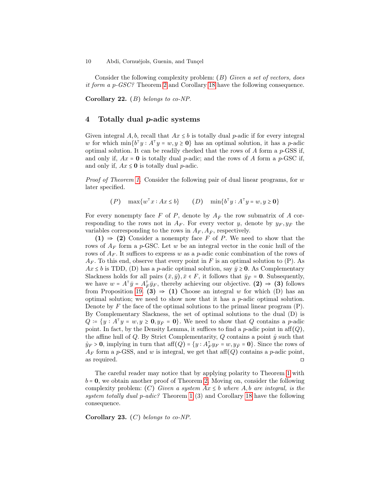10 Abdi, Cornuéjols, Guenin, and Tunçel

Consider the following complexity problem:  $(B)$  Given a set of vectors, does it form a p-GSC? Theorem [2](#page-2-0) and Corollary [18](#page-7-1) have the following consequence.

Corollary 22. (B) belongs to co-NP.

## <span id="page-9-0"></span>4 Totally dual p-adic systems

Given integral A, b, recall that  $Ax \leq b$  is totally dual p-adic if for every integral w for which  $\min\{b^{\mathsf{T}}y : A^{\mathsf{T}}y = w, y \ge 0\}$  has an optimal solution, it has a *p*-adic optimal solution. It can be readily checked that the rows of  $A$  form a  $p$ -GSS if, and only if,  $Ax = 0$  is totally dual p-adic; and the rows of A form a p-GSC if, and only if,  $Ax \le 0$  is totally dual *p*-adic.

*Proof of Theorem [1.](#page-1-0)* Consider the following pair of dual linear programs, for  $w$ later specified.

(P)  $\max\{w^{\top}x : Ax \leq b\}$  (D)  $\min\{b^{\top}y : A^{\top}y = w, y \geq 0\}$ 

For every nonempty face F of P, denote by  $A_{\bar{F}}$  the row submatrix of A corresponding to the rows not in  $A_F$ . For every vector y, denote by  $y_F, y_{\overline{F}}$  the variables corresponding to the rows in  $A_F$ ,  $A_{\bar{F}}$ , respectively.

 $(1) \Rightarrow (2)$  Consider a nonempty face F of P. We need to show that the rows of  $A_F$  form a p-GSC. Let w be an integral vector in the conic hull of the rows of  $A_F$ . It suffices to express w as a p-adic conic combination of the rows of  $A_F$ . To this end, observe that every point in F is an optimal solution to (P). As  $Ax \leq b$  is TDD, (D) has a *p*-adic optimal solution, say  $\bar{y} \geq 0$ . As Complementary Slackness holds for all pairs  $(\bar{x}, \bar{y}), \bar{x} \in F$ , it follows that  $\bar{y}_{\bar{F}} = 0$ . Subsequently, we have  $w = A^{\top} \bar{y} = A_F^{\top} \bar{y}_F$ , thereby achieving our objective. (2)  $\Rightarrow$  (3) follows from Proposition [19.](#page-7-0) (3)  $\Rightarrow$  (1) Choose an integral w for which (D) has an optimal solution; we need to show now that it has a p-adic optimal solution. Denote by  $F$  the face of the optimal solutions to the primal linear program  $(P)$ . By Complementary Slackness, the set of optimal solutions to the dual (D) is  $Q = \{y : A^{\top}y = w, y \ge 0, y_{\bar{F}} = 0\}.$  We need to show that  $Q$  contains a p-adic point. In fact, by the Density Lemma, it suffices to find a  $p$ -adic point in aff $(Q)$ , the affine hull of Q. By Strict Complementarity, Q contains a point  $\hat{y}$  such that  $\hat{y}_F > 0$ , implying in turn that  $\text{aff}(Q) = \{y : A_F^\top y_F = w, y_F = 0\}$ . Since the rows of  $A_F$  form a p-GSS, and w is integral, we get that aff $(Q)$  contains a p-adic point, as required. ⊓⊔

The careful reader may notice that by applying polarity to Theorem [1](#page-1-0) with  $b = 0$ , we obtain another proof of Theorem [2.](#page-2-0) Moving on, consider the following complexity problem: (C) Given a system  $Ax \leq b$  where  $A, b$  are integral, is the system totally dual  $p\text{-}adic$ ? Theorem [1](#page-1-0) (3) and Corollary [18](#page-7-1) have the following consequence.

Corollary 23.  $(C)$  belongs to co-NP.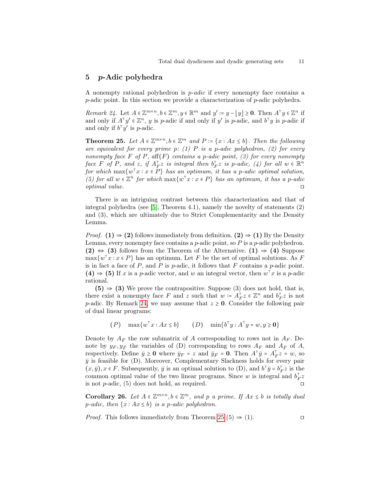### <span id="page-10-0"></span>5 p-Adic polyhedra

A nonempty rational polyhedron is p-adic if every nonempty face contains a p-adic point. In this section we provide a characterization of p-adic polyhedra.

<span id="page-10-1"></span>Remark 24. Let  $A \in \mathbb{Z}^{m \times n}$ ,  $b \in \mathbb{Z}^m$ ,  $y \in \mathbb{R}^m$  and  $y' := y - \lfloor y \rfloor \ge 0$ . Then  $A^{\top}y \in \mathbb{Z}^n$  if and only if  $A^{\dagger}y' \in \mathbb{Z}^n$ , y is p-adic if and only if y' is p-adic, and  $b^{\dagger}y$  is p-adic if and only if  $b^{\dagger}y'$  is *p*-adic.

<span id="page-10-2"></span>**Theorem 25.** Let  $A \in \mathbb{Z}^{m \times n}$ ,  $b \in \mathbb{Z}^m$  and  $P := \{x : Ax \leq b\}$ . Then the following are equivalent for every prime p: (1) P is a p-adic polyhedron, (2) for every nonempty face F of P, aff $(F)$  contains a p-adic point, (3) for every nonempty face F of P, and z, if  $A_F^{\dagger}$  is integral then  $b_F^{\dagger}$  is p-adic, (4) for all  $w \in \mathbb{R}^n$ for which  $\max\{w^{\mathsf{T}}x : x \in P\}$  has an optimum, it has a p-adic optimal solution, (5) for all  $w \in \mathbb{Z}^n$  for which  $\max\{w^\top x : x \in P\}$  has an optimum, it has a p-adic optimal value. ⊓⊔

There is an intriguing contrast between this characterization and that of integral polyhedra (see [\[5\]](#page-12-12), Theorem 4.1), namely the novelty of statements (2) and (3), which are ultimately due to Strict Complementarity and the Density Lemma.

*Proof.* (1)  $\Rightarrow$  (2) follows immediately from definition. (2)  $\Rightarrow$  (1) By the Density Lemma, every nonempty face contains a  $p$ -adic point, so  $P$  is a  $p$ -adic polyhedron. (2)  $\Leftrightarrow$  (3) follows from the Theorem of the Alternative. (1)  $\Rightarrow$  (4) Suppose  $\max\{w^{\top}x : x \in P\}$  has an optimum. Let F be the set of optimal solutions. As F is in fact a face of  $P$ , and  $P$  is p-adic, it follows that  $F$  contains a p-adic point. (4)  $\Rightarrow$  (5) If x is a p-adic vector, and w an integral vector, then  $w^{\top}x$  is a p-adic rational.

 $(5) \Rightarrow (3)$  We prove the contrapositive. Suppose (3) does not hold, that is, there exist a nonempty face F and z such that  $w \coloneqq A_F^{\top} z \in \mathbb{Z}^n$  and  $b_F^{\top} z$  is not p-adic. By Remark [24,](#page-10-1) we may assume that  $z \ge 0$ . Consider the following pair of dual linear programs:

$$
(P) \quad \max\{w^{\top}x : Ax \le b\} \qquad (D) \quad \min\{b^{\top}y : A^{\top}y = w, y \ge \mathbf{0}\}
$$

Denote by  $A_{\bar{F}}$  the row submatrix of A corresponding to rows not in  $A_F$ . Denote by  $y_F, y_{\bar{F}}$  the variables of (D) corresponding to rows  $A_F$  and  $A_{\bar{F}}$  of A, respectively. Define  $\bar{y} \ge 0$  where  $\bar{y}_F = z$  and  $\bar{y}_F = 0$ . Then  $A^{\dagger} \bar{y} = A_F^{\dagger} z = w$ , so  $\bar{y}$  is feasible for (D). Moreover, Complementary Slackness holds for every pair  $(x,\bar{y}), x \in F$ . Subsequently,  $\bar{y}$  is an optimal solution to (D), and  $b^{\top} \bar{y} = b_F^{\top} z$  is the common optimal value of the two linear programs. Since w is integral and  $b_F^{\dagger}z$ is not  $p$ -adic,  $(5)$  does not hold, as required.

<span id="page-10-3"></span>Corollary 26. Let  $A \in \mathbb{Z}^{m \times n}$ ,  $b \in \mathbb{Z}^m$ , and p a prime. If  $Ax \leq b$  is totally dual p-adic, then  $\{x : Ax \leq b\}$  is a p-adic polyhedron.

*Proof.* This follows immediately from Theorem [25](#page-10-2) (5) ⇒ (1). □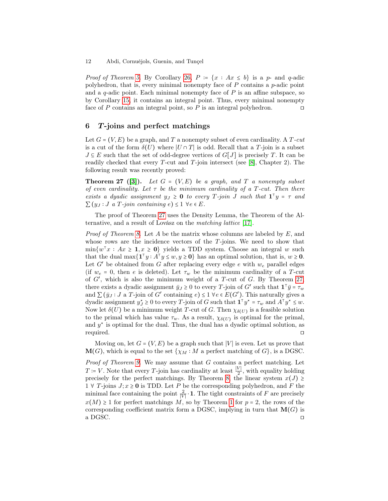*Proof of Theorem [5.](#page-3-0)* By Corollary [26,](#page-10-3)  $P = \{x : Ax \leq b\}$  is a p- and q-adic polyhedron, that is, every minimal nonempty face of  $P$  contains a  $p$ -adic point and a  $q$ -adic point. Each minimal nonempty face of  $P$  is an affine subspace, so by Corollary [15,](#page-6-4) it contains an integral point. Thus, every minimal nonempty face of P contains an integral point, so P is an integral polyhedron. □

## <span id="page-11-0"></span>6 T -joins and perfect matchings

Let  $G = (V, E)$  be a graph, and T a nonempty subset of even cardinality. A T-cut is a cut of the form  $\delta(U)$  where  $|U \cap T|$  is odd. Recall that a T-join is a subset  $J \subseteq E$  such that the set of odd-degree vertices of  $G[J]$  is precisely T. It can be readily checked that every  $T$ -cut and  $T$ -join intersect (see [\[8\]](#page-12-11), Chapter 2). The following result was recently proved:

<span id="page-11-1"></span>**Theorem 27 ([\[3\]](#page-12-10)).** Let  $G = (V, E)$  be a graph, and  $T$  a nonempty subset of even cardinality. Let  $\tau$  be the minimum cardinality of a T-cut. Then there exists a dyadic assignment  $y_J \ge 0$  to every T-join J such that  $\mathbf{1}^\top y = \tau$  and  $\sum_{i} (y_i : J \text{ a } T \text{-}_i \text{ join containing } e) \leq 1 \ \forall e \in E.$ 

The proof of Theorem [27](#page-11-1) uses the Density Lemma, the Theorem of the Alternative, and a result of Lovász on the matching lattice [\[17\]](#page-13-14).

*Proof of Theorem [8.](#page-3-2)* Let A be the matrix whose columns are labeled by  $E$ , and whose rows are the incidence vectors of the T-joins. We need to show that  $\min\{w^{\mathsf{T}}x : Ax \geq 1, x \geq 0\}$  yields a TDD system. Choose an integral w such that the dual  $\max\{\mathbf{1}^\top y : A^\top y \leq w, y \geq \mathbf{0}\}\)$  has an optimal solution, that is,  $w \geq \mathbf{0}$ . Let  $G'$  be obtained from G after replacing every edge e with  $w_e$  parallel edges (if  $w_e = 0$ , then e is deleted). Let  $\tau_w$  be the minimum cardinality of a T-cut of  $G'$ , which is also the minimum weight of a T-cut of  $G$ . By Theorem [27,](#page-11-1) there exists a dyadic assignment  $\bar{y}_J \ge 0$  to every T-join of G' such that  $\mathbf{1}^\top \bar{y} = \tau_w$ and  $\sum (\bar{y}_J : J$  a T-join of G' containing  $e) \leq 1 \forall e \in E(G')$ . This naturally gives a dyadic assignment  $y_J^* \ge 0$  to every T-join of G such that  $\mathbf{1}^\top y^\star = \tau_w$  and  $A^\top y^\star \le w$ . Now let  $\delta(U)$  be a minimum weight T-cut of G. Then  $\chi_{\delta(U)}$  is a feasible solution to the primal which has value  $\tau_w$ . As a result,  $\chi_{\delta(U)}$  is optimal for the primal, and  $y^*$  is optimal for the dual. Thus, the dual has a dyadic optimal solution, as required. ⊓⊔

Moving on, let  $G = (V, E)$  be a graph such that |V| is even. Let us prove that  $\mathbf{M}(G)$ , which is equal to the set  $\{\chi_M : M$  a perfect matching of  $G\}$ , is a DGSC.

Proof of Theorem [9.](#page-4-1) We may assume that G contains a perfect matching. Let  $T = V$ . Note that every T-join has cardinality at least  $\frac{|V|}{2}$ , with equality holding precisely for the perfect matchings. By Theorem [8,](#page-3-2) the linear system  $x(J) \geq$ 1 ∀ T-joins  $J; x \geq 0$  is TDD. Let  $P$  be the corresponding polyhedron, and  $F$  the minimal face containing the point  $\frac{2}{|V|} \cdot 1$ . The tight constraints of F are precisely  $x(M) \geq 1$  $x(M) \geq 1$  for perfect matchings M, so by Theorem 1 for  $p = 2$ , the rows of the corresponding coefficient matrix form a DGSC, implying in turn that  $\mathbf{M}(G)$  is a DGSC. ⊓⊔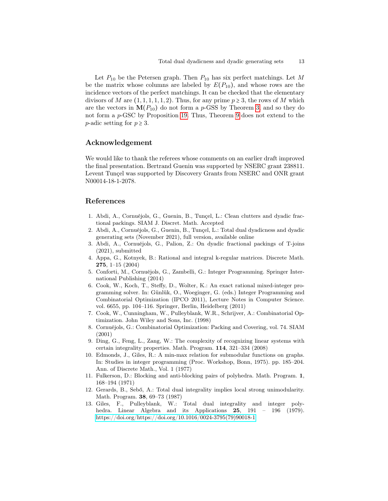Let  $P_{10}$  be the Petersen graph. Then  $P_{10}$  has six perfect matchings. Let M be the matrix whose columns are labeled by  $E(P_{10})$ , and whose rows are the incidence vectors of the perfect matchings. It can be checked that the elementary divisors of M are  $(1, 1, 1, 1, 1, 2)$ . Thus, for any prime  $p \ge 3$ , the rows of M which are the vectors in  $M(P_{10})$  do not form a p-GSS by Theorem [3,](#page-2-1) and so they do not form a p-GSC by Proposition [19.](#page-7-0) Thus, Theorem [9](#page-4-1) does not extend to the p-adic setting for  $p \geq 3$ .

# Acknowledgement

We would like to thank the referees whose comments on an earlier draft improved the final presentation. Bertrand Guenin was supported by NSERC grant 238811. Levent Tunçel was supported by Discovery Grants from NSERC and ONR grant N00014-18-1-2078.

### References

- <span id="page-12-6"></span>1. Abdi, A., Cornuéjols, G., Guenin, B., Tunçel, L.: Clean clutters and dyadic fractional packings. SIAM J. Discret. Math. Accepted
- <span id="page-12-8"></span>2. Abdi, A., Cornuéjols, G., Guenin, B., Tunçel, L.: Total dual dyadicness and dyadic generating sets (November 2021), full version, available online
- <span id="page-12-10"></span>3. Abdi, A., Cornuéjols, G., Palion, Z.: On dyadic fractional packings of T-joins (2021), submitted
- <span id="page-12-7"></span>4. Appa, G., Kotnyek, B.: Rational and integral k-regular matrices. Discrete Math. 275, 1–15 (2004)
- <span id="page-12-12"></span>5. Conforti, M., Cornuéjols, G., Zambelli, G.: Integer Programming. Springer International Publishing (2014)
- <span id="page-12-0"></span>6. Cook, W., Koch, T., Steffy, D., Wolter, K.: An exact rational mixed-integer programming solver. In: Günlük, O., Woeginger, G. (eds.) Integer Programming and Combinatorial Optimization (IPCO 2011), Lecture Notes in Computer Science. vol. 6655, pp. 104–116. Springer, Berlin, Heidelberg (2011)
- <span id="page-12-9"></span>7. Cook, W., Cunningham, W., Pulleyblank, W.R., Schrijver, A.: Combinatorial Optimization. John Wiley and Sons, Inc. (1998)
- <span id="page-12-11"></span>8. Cornuéjols, G.: Combinatorial Optimization: Packing and Covering, vol. 74. SIAM (2001)
- <span id="page-12-3"></span>9. Ding, G., Feng, L., Zang, W.: The complexity of recognizing linear systems with certain integrality properties. Math. Program. 114, 321–334 (2008)
- <span id="page-12-1"></span>10. Edmonds, J., Giles, R.: A min-max relation for submodular functions on graphs. In: Studies in integer programming (Proc. Workshop, Bonn, 1975). pp. 185–204. Ann. of Discrete Math., Vol. 1 (1977)
- <span id="page-12-5"></span>11. Fulkerson, D.: Blocking and anti-blocking pairs of polyhedra. Math. Program. 1, 168–194 (1971)
- <span id="page-12-4"></span>12. Gerards, B., Sebő, A.: Total dual integrality implies local strong unimodularity. Math. Program. 38, 69–73 (1987)
- <span id="page-12-2"></span>13. Giles, F., Pulleyblank, W.: Total dual integrality and integer polyhedra. Linear Algebra and its Applications 25, 191 – 196 (1979). [https://doi.org/https://doi.org/10.1016/0024-3795\(79\)90018-1](https://doi.org/https://doi.org/10.1016/0024-3795(79)90018-1)